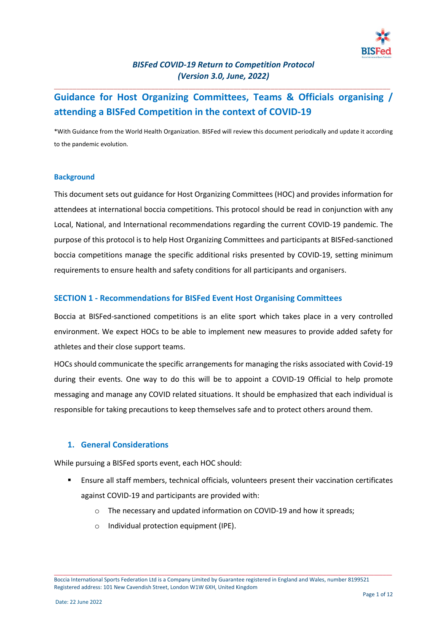

\_\_\_\_\_\_\_\_\_\_\_\_\_\_\_\_\_\_\_\_\_\_\_\_\_\_\_\_\_\_\_\_\_\_\_\_\_\_\_\_\_\_\_\_\_\_\_\_\_\_\_\_\_\_\_\_\_\_\_\_\_\_\_\_\_\_\_\_\_\_\_\_\_\_\_\_\_\_\_\_\_\_\_\_\_\_\_\_\_\_

# **Guidance for Host Organizing Committees, Teams & Officials organising / attending a BISFed Competition in the context of COVID-19**

\*With Guidance from the World Health Organization. BISFed will review this document periodically and update it according to the pandemic evolution.

#### **Background**

This document sets out guidance for Host Organizing Committees (HOC) and provides information for attendees at international boccia competitions. This protocol should be read in conjunction with any Local, National, and International recommendations regarding the current COVID-19 pandemic. The purpose of this protocol is to help Host Organizing Committees and participants at BISFed-sanctioned boccia competitions manage the specific additional risks presented by COVID-19, setting minimum requirements to ensure health and safety conditions for all participants and organisers.

### **SECTION 1 - Recommendations for BISFed Event Host Organising Committees**

Boccia at BISFed-sanctioned competitions is an elite sport which takes place in a very controlled environment. We expect HOCs to be able to implement new measures to provide added safety for athletes and their close support teams.

HOCs should communicate the specific arrangements for managing the risks associated with Covid-19 during their events. One way to do this will be to appoint a COVID-19 Official to help promote messaging and manage any COVID related situations. It should be emphasized that each individual is responsible for taking precautions to keep themselves safe and to protect others around them.

### **1. General Considerations**

While pursuing a BISFed sports event, each HOC should:

- Ensure all staff members, technical officials, volunteers present their vaccination certificates against COVID-19 and participants are provided with:
	- o The necessary and updated information on COVID-19 and how it spreads;
	- o Individual protection equipment (IPE).

Boccia International Sports Federation Ltd is a Company Limited by Guarantee registered in England and Wales, number 8199521 Registered address: 101 New Cavendish Street, London W1W 6XH, United Kingdom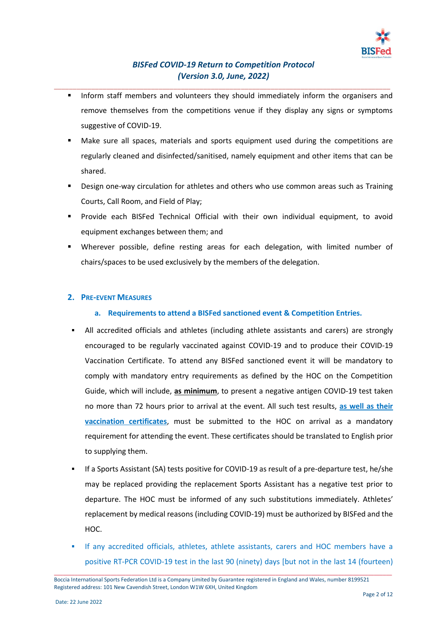

- \_\_\_\_\_\_\_\_\_\_\_\_\_\_\_\_\_\_\_\_\_\_\_\_\_\_\_\_\_\_\_\_\_\_\_\_\_\_\_\_\_\_\_\_\_\_\_\_\_\_\_\_\_\_\_\_\_\_\_\_\_\_\_\_\_\_\_\_\_\_\_\_\_\_\_\_\_\_\_\_\_\_\_\_\_\_\_\_\_\_ Inform staff members and volunteers they should immediately inform the organisers and remove themselves from the competitions venue if they display any signs or symptoms suggestive of COVID-19.
	- Make sure all spaces, materials and sports equipment used during the competitions are regularly cleaned and disinfected/sanitised, namely equipment and other items that can be shared.
	- Design one-way circulation for athletes and others who use common areas such as Training Courts, Call Room, and Field of Play;
	- Provide each BISFed Technical Official with their own individual equipment, to avoid equipment exchanges between them; and
	- Wherever possible, define resting areas for each delegation, with limited number of chairs/spaces to be used exclusively by the members of the delegation.

## **2. PRE-EVENT MEASURES**

- **a. Requirements to attend a BISFed sanctioned event & Competition Entries.**
- All accredited officials and athletes (including athlete assistants and carers) are strongly encouraged to be regularly vaccinated against COVID-19 and to produce their COVID-19 Vaccination Certificate. To attend any BISFed sanctioned event it will be mandatory to comply with mandatory entry requirements as defined by the HOC on the Competition Guide, which will include, **as minimum**, to present a negative antigen COVID-19 test taken no more than 72 hours prior to arrival at the event. All such test results, **as well as their vaccination certificates**, must be submitted to the HOC on arrival as a mandatory requirement for attending the event. These certificates should be translated to English prior to supplying them.
- If a Sports Assistant (SA) tests positive for COVID-19 as result of a pre-departure test, he/she may be replaced providing the replacement Sports Assistant has a negative test prior to departure. The HOC must be informed of any such substitutions immediately. Athletes' replacement by medical reasons (including COVID-19) must be authorized by BISFed and the HOC.
- If any accredited officials, athletes, athlete assistants, carers and HOC members have a positive RT-PCR COVID-19 test in the last 90 (ninety) days [but not in the last 14 (fourteen)

Boccia International Sports Federation Ltd is a Company Limited by Guarantee registered in England and Wales, number 8199521 Registered address: 101 New Cavendish Street, London W1W 6XH, United Kingdom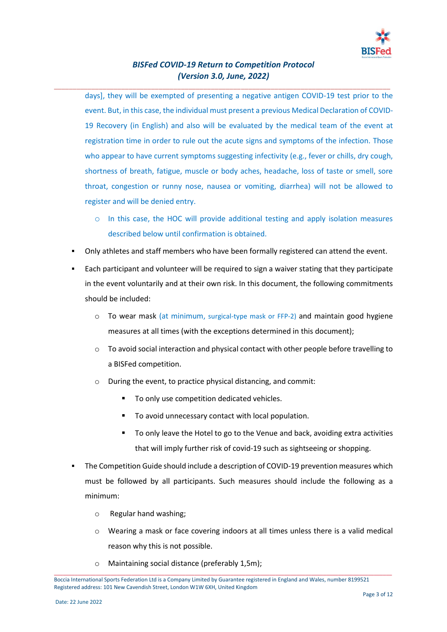

\_\_\_\_\_\_\_\_\_\_\_\_\_\_\_\_\_\_\_\_\_\_\_\_\_\_\_\_\_\_\_\_\_\_\_\_\_\_\_\_\_\_\_\_\_\_\_\_\_\_\_\_\_\_\_\_\_\_\_\_\_\_\_\_\_\_\_\_\_\_\_\_\_\_\_\_\_\_\_\_\_\_\_\_\_\_\_\_\_\_

days], they will be exempted of presenting a negative antigen COVID-19 test prior to the event. But, in this case, the individual must present a previous Medical Declaration of COVID-19 Recovery (in English) and also will be evaluated by the medical team of the event at registration time in order to rule out the acute signs and symptoms of the infection. Those who appear to have current symptoms suggesting infectivity (e.g., fever or chills, dry cough, shortness of breath, fatigue, muscle or body aches, headache, loss of taste or smell, sore throat, congestion or runny nose, nausea or vomiting, diarrhea) will not be allowed to register and will be denied entry.

- $\circ$  In this case, the HOC will provide additional testing and apply isolation measures described below until confirmation is obtained.
- Only athletes and staff members who have been formally registered can attend the event.
- Each participant and volunteer will be required to sign a waiver stating that they participate in the event voluntarily and at their own risk. In this document, the following commitments should be included:
	- $\circ$  To wear mask (at minimum, surgical-type mask or FFP-2) and maintain good hygiene measures at all times (with the exceptions determined in this document);
	- o To avoid social interaction and physical contact with other people before travelling to a BISFed competition.
	- o During the event, to practice physical distancing, and commit:
		- To only use competition dedicated vehicles.
		- To avoid unnecessary contact with local population.
		- To only leave the Hotel to go to the Venue and back, avoiding extra activities that will imply further risk of covid-19 such as sightseeing or shopping.
- The Competition Guide should include a description of COVID-19 prevention measures which must be followed by all participants. Such measures should include the following as a minimum:
	- o Regular hand washing;
	- $\circ$  Wearing a mask or face covering indoors at all times unless there is a valid medical reason why this is not possible.
	- o Maintaining social distance (preferably 1,5m);

Boccia International Sports Federation Ltd is a Company Limited by Guarantee registered in England and Wales, number 8199521 Registered address: 101 New Cavendish Street, London W1W 6XH, United Kingdom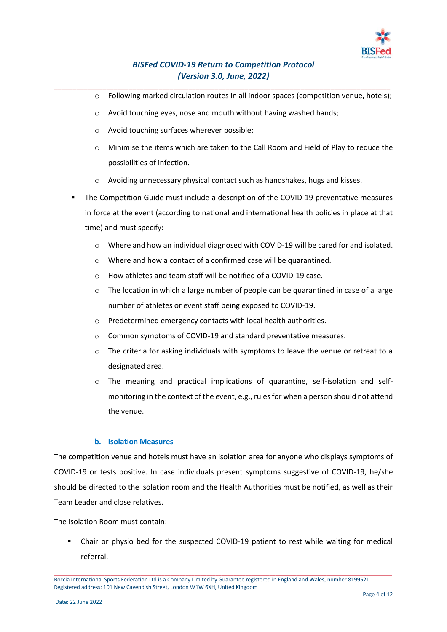

\_\_\_\_\_\_\_\_\_\_\_\_\_\_\_\_\_\_\_\_\_\_\_\_\_\_\_\_\_\_\_\_\_\_\_\_\_\_\_\_\_\_\_\_\_\_\_\_\_\_\_\_\_\_\_\_\_\_\_\_\_\_\_\_\_\_\_\_\_\_\_\_\_\_\_\_\_\_\_\_\_\_\_\_\_\_\_\_\_\_

- o Following marked circulation routes in all indoor spaces (competition venue, hotels);
- o Avoid touching eyes, nose and mouth without having washed hands;
- o Avoid touching surfaces wherever possible;
- o Minimise the items which are taken to the Call Room and Field of Play to reduce the possibilities of infection.
- o Avoiding unnecessary physical contact such as handshakes, hugs and kisses.
- The Competition Guide must include a description of the COVID-19 preventative measures in force at the event (according to national and international health policies in place at that time) and must specify:
	- $\circ$  Where and how an individual diagnosed with COVID-19 will b[e cared for and isolated.](https://www.who.int/docs/default-source/coronaviruse/clinical-management-of-novel-cov.pdf)
	- o Where and how a contact of a confirmed case will b[e quarantined.](https://www.who.int/publications-detail/considerations-for-quarantine-of-individuals-in-the-context-of-containment-for-coronavirus-disease-(covid-19))
	- o How athletes and team staff will be notified of a COVID-19 case.
	- $\circ$  The location in which a large number of people can be [quarantined i](https://www.who.int/publications-detail/considerations-for-quarantine-of-individuals-in-the-context-of-containment-for-coronavirus-disease-(covid-19))n case of a large number of athletes or event staff being exposed to COVID-19.
	- o Predetermined emergency contacts with local health authorities.
	- o Common symptoms of COVID-19 and standard preventative measures.
	- $\circ$  The criteria for asking individuals with symptoms to leave the venue or retreat to a designated area.
	- o The meaning and practical implications of quarantine, self-isolation and selfmonitoring in the context of the event, e.g., rules for when a person should not attend the venue.

### **b. Isolation Measures**

The competition venue and hotels must have an isolation area for anyone who displays symptoms of COVID-19 or tests positive. In case individuals present symptoms suggestive of COVID-19, he/she should be directed to the isolation room and the Health Authorities must be notified, as well as their Team Leader and close relatives.

The Isolation Room must contain:

Chair or physio bed for the suspected COVID-19 patient to rest while waiting for medical referral.

Boccia International Sports Federation Ltd is a Company Limited by Guarantee registered in England and Wales, number 8199521 Registered address: 101 New Cavendish Street, London W1W 6XH, United Kingdom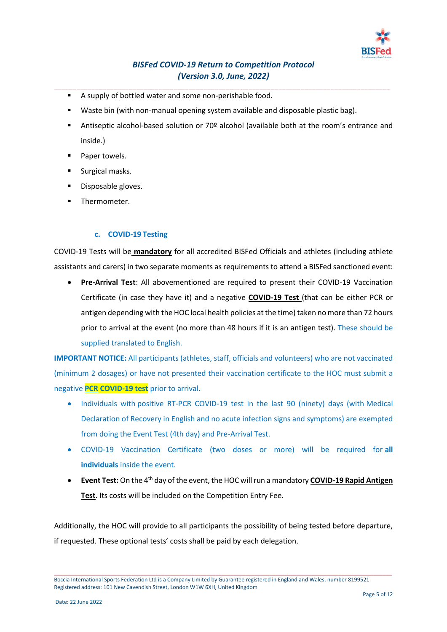

\_\_\_\_\_\_\_\_\_\_\_\_\_\_\_\_\_\_\_\_\_\_\_\_\_\_\_\_\_\_\_\_\_\_\_\_\_\_\_\_\_\_\_\_\_\_\_\_\_\_\_\_\_\_\_\_\_\_\_\_\_\_\_\_\_\_\_\_\_\_\_\_\_\_\_\_\_\_\_\_\_\_\_\_\_\_\_\_\_\_

- A supply of bottled water and some non-perishable food.
- Waste bin (with non-manual opening system available and disposable plastic bag).
- Antiseptic alcohol-based solution or 70º alcohol (available both at the room's entrance and inside.)
- Paper towels.
- Surgical masks.
- Disposable gloves.
- **■** Thermometer.

### **c. COVID-19 Testing**

COVID-19 Tests will be **mandatory** for all accredited BISFed Officials and athletes (including athlete assistants and carers) in two separate moments as requirements to attend a BISFed sanctioned event:

• **Pre-Arrival Test**: All abovementioned are required to present their COVID-19 Vaccination Certificate (in case they have it) and a negative **COVID-19 Test** (that can be either PCR or antigen depending with the HOC local health policies at the time) taken no more than 72 hours prior to arrival at the event (no more than 48 hours if it is an antigen test). These should be supplied translated to English.

**IMPORTANT NOTICE:** All participants (athletes, staff, officials and volunteers) who are not vaccinated (minimum 2 dosages) or have not presented their vaccination certificate to the HOC must submit a negative **PCR COVID-19 test** prior to arrival.

- Individuals with positive RT-PCR COVID-19 test in the last 90 (ninety) days (with Medical Declaration of Recovery in English and no acute infection signs and symptoms) are exempted from doing the Event Test (4th day) and Pre-Arrival Test.
- COVID-19 Vaccination Certificate (two doses or more) will be required for **all individuals** inside the event.
- **Event Test:** On the 4<sup>th</sup> day of the event, the HOC will run a mandatory **COVID-19 Rapid Antigen Test**. Its costs will be included on the Competition Entry Fee.

Additionally, the HOC will provide to all participants the possibility of being tested before departure, if requested. These optional tests' costs shall be paid by each delegation.

Boccia International Sports Federation Ltd is a Company Limited by Guarantee registered in England and Wales, number 8199521 Registered address: 101 New Cavendish Street, London W1W 6XH, United Kingdom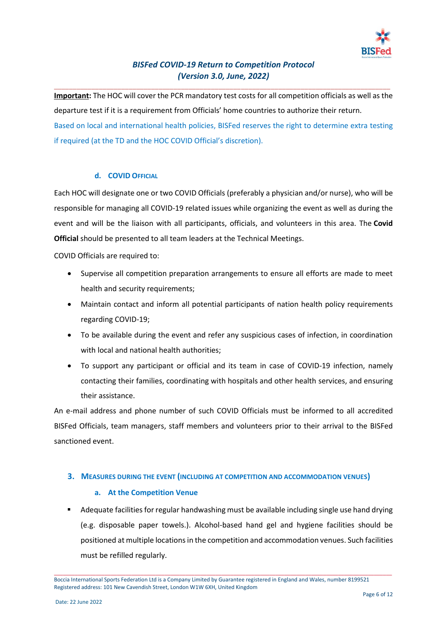

\_\_\_\_\_\_\_\_\_\_\_\_\_\_\_\_\_\_\_\_\_\_\_\_\_\_\_\_\_\_\_\_\_\_\_\_\_\_\_\_\_\_\_\_\_\_\_\_\_\_\_\_\_\_\_\_\_\_\_\_\_\_\_\_\_\_\_\_\_\_\_\_\_\_\_\_\_\_\_\_\_\_\_\_\_\_\_\_\_\_

**Important:** The HOC will cover the PCR mandatory test costs for all competition officials as well as the departure test if it is a requirement from Officials' home countries to authorize their return. Based on local and international health policies, BISFed reserves the right to determine extra testing if required (at the TD and the HOC COVID Official's discretion).

### **d. COVID OFFICIAL**

Each HOC will designate one or two COVID Officials (preferably a physician and/or nurse), who will be responsible for managing all COVID-19 related issues while organizing the event as well as during the event and will be the liaison with all participants, officials, and volunteers in this area. The **Covid Official** should be presented to all team leaders at the Technical Meetings.

COVID Officials are required to:

- Supervise all competition preparation arrangements to ensure all efforts are made to meet health and security requirements;
- Maintain contact and inform all potential participants of nation health policy requirements regarding COVID-19;
- To be available during the event and refer any suspicious cases of infection, in coordination with local and national health authorities:
- To support any participant or official and its team in case of COVID-19 infection, namely contacting their families, coordinating with hospitals and other health services, and ensuring their assistance.

An e-mail address and phone number of such COVID Officials must be informed to all accredited BISFed Officials, team managers, staff members and volunteers prior to their arrival to the BISFed sanctioned event.

### **3. MEASURES DURING THE EVENT (INCLUDING AT COMPETITION AND ACCOMMODATION VENUES)**

### **a. At the Competition Venue**

■ Adequate facilities for regular handwashing must be available including single use hand drying (e.g. disposable paper towels.). Alcohol-based hand gel and hygiene facilities should be positioned at multiple locations in the competition and accommodation venues. Such facilities must be refilled regularly.

Boccia International Sports Federation Ltd is a Company Limited by Guarantee registered in England and Wales, number 8199521 Registered address: 101 New Cavendish Street, London W1W 6XH, United Kingdom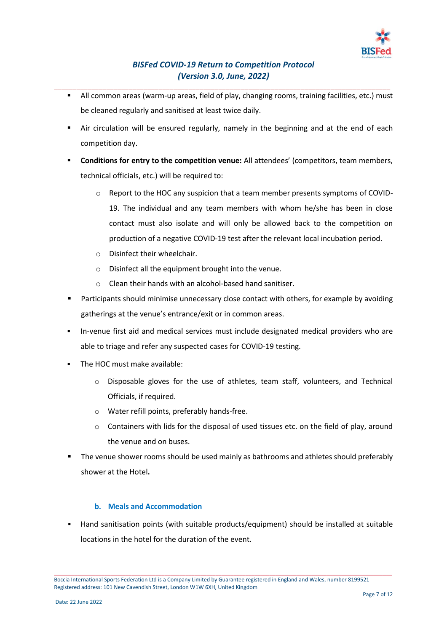

\_\_\_\_\_\_\_\_\_\_\_\_\_\_\_\_\_\_\_\_\_\_\_\_\_\_\_\_\_\_\_\_\_\_\_\_\_\_\_\_\_\_\_\_\_\_\_\_\_\_\_\_\_\_\_\_\_\_\_\_\_\_\_\_\_\_\_\_\_\_\_\_\_\_\_\_\_\_\_\_\_\_\_\_\_\_\_\_\_\_

- All common areas (warm-up areas, field of play, changing rooms, training facilities, etc.) must be cleaned regularly and sanitised at least twice daily.
- Air circulation will be ensured regularly, namely in the beginning and at the end of each competition day.
- **Conditions for entry to the competition venue:** All attendees' (competitors, team members, technical officials, etc.) will be required to:
	- o Report to the HOC any suspicion that a team member presents symptoms of COVID-19. The individual and any team members with whom he/she has been in close contact must also isolate and will only be allowed back to the competition on production of a negative COVID-19 test after the relevant local incubation period.
	- o Disinfect their wheelchair.
	- o Disinfect all the equipment brought into the venue.
	- o Clean their hands with an alcohol-based hand sanitiser.
- **•** Participants should minimise unnecessary close contact with others, for example by avoiding gatherings at the venue's entrance/exit or in common areas.
- **■** In-venue first aid and medical services must include designated medical providers who are able to triage and refer any suspected cases for COVID-19 testing.
- The HOC must make available:
	- o Disposable gloves for the use of athletes, team staff, volunteers, and Technical Officials, if required.
	- o Water refill points, preferably hands-free.
	- o Containers with lids for the disposal of used tissues etc. on the field of play, around the venue and on buses.
- The venue shower rooms should be used mainly as bathrooms and athletes should preferably shower at the Hotel**.**

## **b. Meals and Accommodation**

▪ Hand sanitisation points (with suitable products/equipment) should be installed at suitable locations in the hotel for the duration of the event.

\_\_\_\_\_\_\_\_\_\_\_\_\_\_\_\_\_\_\_\_\_\_\_\_\_\_\_\_\_\_\_\_\_\_\_\_\_\_\_\_\_\_\_\_\_\_\_\_\_\_\_\_\_\_\_\_\_\_\_\_\_\_\_\_\_\_\_\_\_\_\_\_\_\_\_\_\_\_\_\_\_\_\_\_\_\_\_\_\_\_\_\_\_\_\_\_\_\_\_\_\_\_\_\_\_\_\_\_\_\_\_\_\_ Boccia International Sports Federation Ltd is a Company Limited by Guarantee registered in England and Wales, number 8199521 Registered address: 101 New Cavendish Street, London W1W 6XH, United Kingdom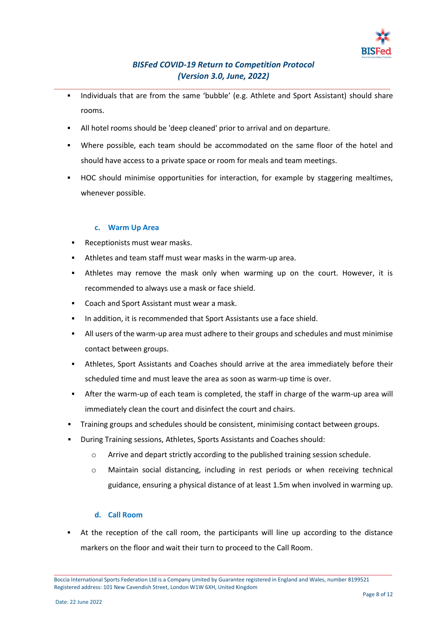

- \_\_\_\_\_\_\_\_\_\_\_\_\_\_\_\_\_\_\_\_\_\_\_\_\_\_\_\_\_\_\_\_\_\_\_\_\_\_\_\_\_\_\_\_\_\_\_\_\_\_\_\_\_\_\_\_\_\_\_\_\_\_\_\_\_\_\_\_\_\_\_\_\_\_\_\_\_\_\_\_\_\_\_\_\_\_\_\_\_\_ ■ Individuals that are from the same 'bubble' (e.g. Athlete and Sport Assistant) should share rooms.
	- All hotel rooms should be 'deep cleaned' prior to arrival and on departure.
	- Where possible, each team should be accommodated on the same floor of the hotel and should have access to a private space or room for meals and team meetings.
	- HOC should minimise opportunities for interaction, for example by staggering mealtimes, whenever possible.

### **c. Warm Up Area**

- Receptionists must wear masks.
- Athletes and team staff must wear masks in the warm-up area.
- **EXECT** Athletes may remove the mask only when warming up on the court. However, it is recommended to always use a mask or face shield.
- Coach and Sport Assistant must wear a mask.
- In addition, it is recommended that Sport Assistants use a face shield.
- **EXECT** All users of the warm-up area must adhere to their groups and schedules and must minimise contact between groups.
- Athletes, Sport Assistants and Coaches should arrive at the area immediately before their scheduled time and must leave the area as soon as warm-up time is over.
- After the warm-up of each team is completed, the staff in charge of the warm-up area will immediately clean the court and disinfect the court and chairs.
- Training groups and schedules should be consistent, minimising contact between groups.
- During Training sessions, Athletes, Sports Assistants and Coaches should:
	- o Arrive and depart strictly according to the published training session schedule.
	- o Maintain social distancing, including in rest periods or when receiving technical guidance, ensuring a physical distance of at least 1.5m when involved in warming up.

### **d. Call Room**

▪ At the reception of the call room, the participants will line up according to the distance markers on the floor and wait their turn to proceed to the Call Room.

Boccia International Sports Federation Ltd is a Company Limited by Guarantee registered in England and Wales, number 8199521 Registered address: 101 New Cavendish Street, London W1W 6XH, United Kingdom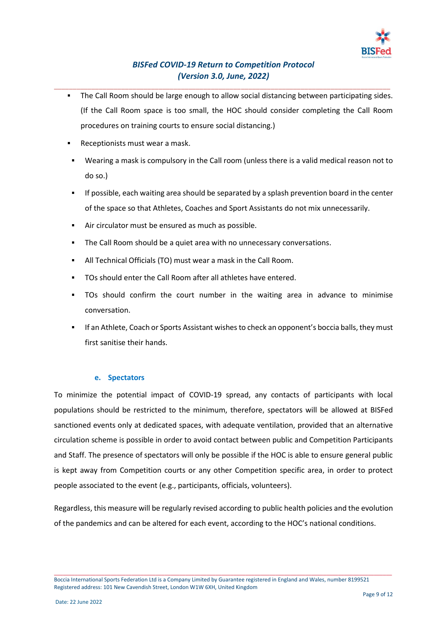

- \_\_\_\_\_\_\_\_\_\_\_\_\_\_\_\_\_\_\_\_\_\_\_\_\_\_\_\_\_\_\_\_\_\_\_\_\_\_\_\_\_\_\_\_\_\_\_\_\_\_\_\_\_\_\_\_\_\_\_\_\_\_\_\_\_\_\_\_\_\_\_\_\_\_\_\_\_\_\_\_\_\_\_\_\_\_\_\_\_\_ ▪ The Call Room should be large enough to allow social distancing between participating sides. (If the Call Room space is too small, the HOC should consider completing the Call Room procedures on training courts to ensure social distancing.)
	- Receptionists must wear a mask.
	- Wearing a mask is compulsory in the Call room (unless there is a valid medical reason not to do so.)
	- **•** If possible, each waiting area should be separated by a splash prevention board in the center of the space so that Athletes, Coaches and Sport Assistants do not mix unnecessarily.
	- Air circulator must be ensured as much as possible.
	- The Call Room should be a quiet area with no unnecessary conversations.
	- All Technical Officials (TO) must wear a mask in the Call Room.
	- TOs should enter the Call Room after all athletes have entered.
	- TOs should confirm the court number in the waiting area in advance to minimise conversation.
	- If an Athlete, Coach or Sports Assistant wishes to check an opponent's boccia balls, they must first sanitise their hands.

#### **e. Spectators**

To minimize the potential impact of COVID-19 spread, any contacts of participants with local populations should be restricted to the minimum, therefore, spectators will be allowed at BISFed sanctioned events only at dedicated spaces, with adequate ventilation, provided that an alternative circulation scheme is possible in order to avoid contact between public and Competition Participants and Staff. The presence of spectators will only be possible if the HOC is able to ensure general public is kept away from Competition courts or any other Competition specific area, in order to protect people associated to the event (e.g., participants, officials, volunteers).

Regardless, this measure will be regularly revised according to public health policies and the evolution of the pandemics and can be altered for each event, according to the HOC's national conditions.

Boccia International Sports Federation Ltd is a Company Limited by Guarantee registered in England and Wales, number 8199521 Registered address: 101 New Cavendish Street, London W1W 6XH, United Kingdom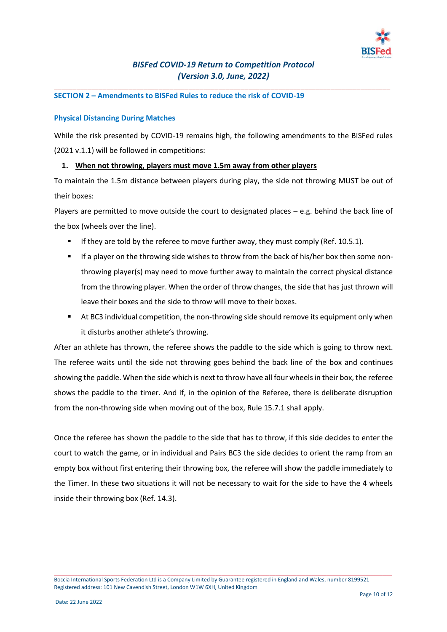

\_\_\_\_\_\_\_\_\_\_\_\_\_\_\_\_\_\_\_\_\_\_\_\_\_\_\_\_\_\_\_\_\_\_\_\_\_\_\_\_\_\_\_\_\_\_\_\_\_\_\_\_\_\_\_\_\_\_\_\_\_\_\_\_\_\_\_\_\_\_\_\_\_\_\_\_\_\_\_\_\_\_\_\_\_\_\_\_\_\_

### **SECTION 2 – Amendments to BISFed Rules to reduce the risk of COVID-19**

#### **Physical Distancing During Matches**

While the risk presented by COVID-19 remains high, the following amendments to the BISFed rules (2021 v.1.1) will be followed in competitions:

### **1. When not throwing, players must move 1.5m away from other players**

To maintain the 1.5m distance between players during play, the side not throwing MUST be out of their boxes:

Players are permitted to move outside the court to designated places – e.g. behind the back line of the box (wheels over the line).

- **E** If they are told by the referee to move further away, they must comply (Ref. 10.5.1).
- If a player on the throwing side wishes to throw from the back of his/her box then some nonthrowing player(s) may need to move further away to maintain the correct physical distance from the throwing player. When the order of throw changes, the side that has just thrown will leave their boxes and the side to throw will move to their boxes.
- At BC3 individual competition, the non-throwing side should remove its equipment only when it disturbs another athlete's throwing.

After an athlete has thrown, the referee shows the paddle to the side which is going to throw next. The referee waits until the side not throwing goes behind the back line of the box and continues showing the paddle. When the side which is next to throw have all four wheels in their box, the referee shows the paddle to the timer. And if, in the opinion of the Referee, there is deliberate disruption from the non-throwing side when moving out of the box, Rule 15.7.1 shall apply.

Once the referee has shown the paddle to the side that has to throw, if this side decides to enter the court to watch the game, or in individual and Pairs BC3 the side decides to orient the ramp from an empty box without first entering their throwing box, the referee will show the paddle immediately to the Timer. In these two situations it will not be necessary to wait for the side to have the 4 wheels inside their throwing box (Ref. 14.3).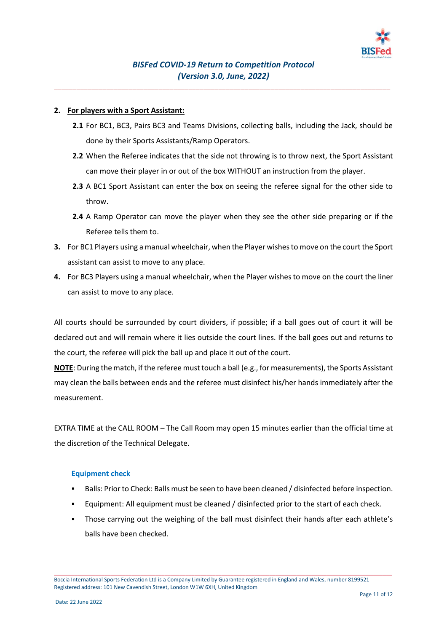

\_\_\_\_\_\_\_\_\_\_\_\_\_\_\_\_\_\_\_\_\_\_\_\_\_\_\_\_\_\_\_\_\_\_\_\_\_\_\_\_\_\_\_\_\_\_\_\_\_\_\_\_\_\_\_\_\_\_\_\_\_\_\_\_\_\_\_\_\_\_\_\_\_\_\_\_\_\_\_\_\_\_\_\_\_\_\_\_\_\_

### **2. For players with a Sport Assistant:**

- **2.1** For BC1, BC3, Pairs BC3 and Teams Divisions, collecting balls, including the Jack, should be done by their Sports Assistants/Ramp Operators.
- **2.2** When the Referee indicates that the side not throwing is to throw next, the Sport Assistant can move their player in or out of the box WITHOUT an instruction from the player.
- **2.3** A BC1 Sport Assistant can enter the box on seeing the referee signal for the other side to throw.
- **2.4** A Ramp Operator can move the player when they see the other side preparing or if the Referee tells them to.
- **3.** For BC1 Players using a manual wheelchair, when the Player wishes to move on the court the Sport assistant can assist to move to any place.
- **4.** For BC3 Players using a manual wheelchair, when the Player wishes to move on the court the liner can assist to move to any place.

All courts should be surrounded by court dividers, if possible; if a ball goes out of court it will be declared out and will remain where it lies outside the court lines. If the ball goes out and returns to the court, the referee will pick the ball up and place it out of the court.

**NOTE**: During the match, if the referee must touch a ball (e.g., for measurements), the Sports Assistant may clean the balls between ends and the referee must disinfect his/her hands immediately after the measurement.

EXTRA TIME at the CALL ROOM – The Call Room may open 15 minutes earlier than the official time at the discretion of the Technical Delegate.

#### **Equipment check**

- Balls: Prior to Check: Balls must be seen to have been cleaned / disinfected before inspection.
- Equipment: All equipment must be cleaned / disinfected prior to the start of each check.
- Those carrying out the weighing of the ball must disinfect their hands after each athlete's balls have been checked.

Boccia International Sports Federation Ltd is a Company Limited by Guarantee registered in England and Wales, number 8199521 Registered address: 101 New Cavendish Street, London W1W 6XH, United Kingdom